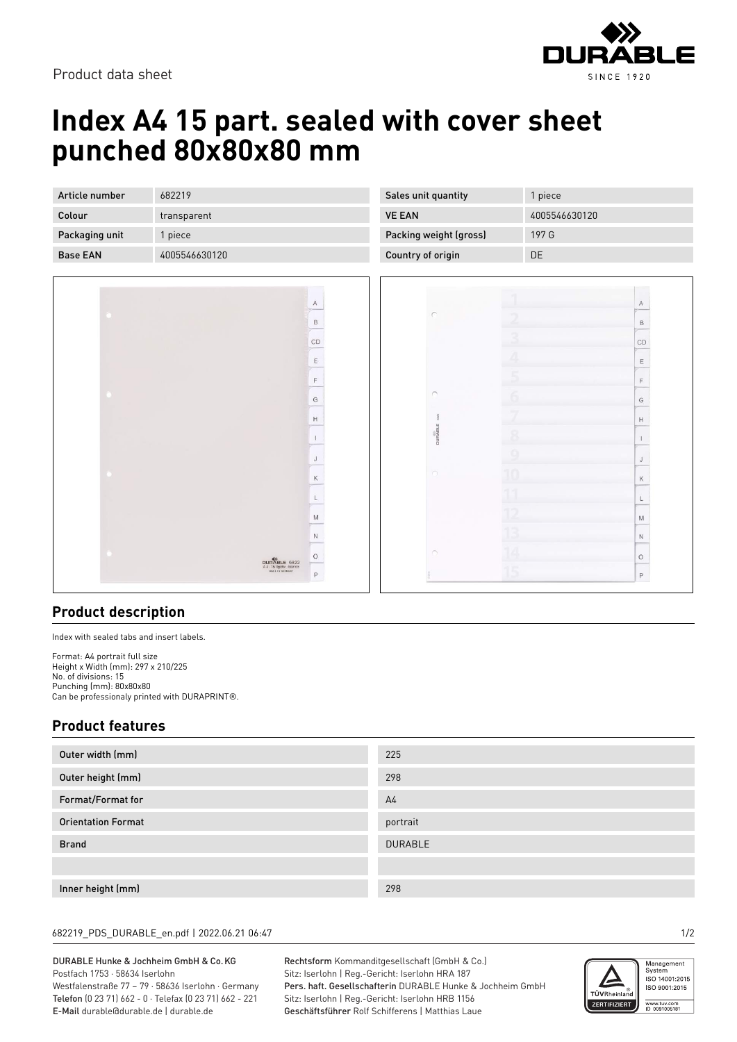Product data sheet



# **Index A4 15 part. sealed with cover sheet punched 80x80x80 mm**

| Article number  | 682219        |
|-----------------|---------------|
| Colour          | transparent   |
| Packaging unit  | 1 piece       |
| <b>Base FAN</b> | 4005546630120 |



| Sales unit quantity    | 1 piece       |
|------------------------|---------------|
| <b>VE EAN</b>          | 4005546630120 |
| Packing weight (gross) | 197 G         |
| Country of origin      | DΕ            |

|                          |                | $\mathsf{A}$                                                                                               |
|--------------------------|----------------|------------------------------------------------------------------------------------------------------------|
| $\subset$                | 2              | $\,$ B                                                                                                     |
|                          | 3              | CD                                                                                                         |
|                          | Ä              | $\mathsf E$                                                                                                |
|                          | $\overline{5}$ | $\mathsf F$                                                                                                |
| $\cap$                   | Ġ              | G                                                                                                          |
| <b>DURABLE</b> sez       |                | $\mathbb H$                                                                                                |
|                          | 8              | $\mathbb{I}$                                                                                               |
|                          | $\overline{9}$ | $\mathsf J$                                                                                                |
| $\bigcirc$               | 10             | $\mathsf K$                                                                                                |
|                          | 11             | L                                                                                                          |
|                          |                | $\mathsf{M}% _{T}=\mathsf{M}_{T}\!\left( a,b\right) ,\ \mathsf{M}_{T}=\mathsf{M}_{T}\!\left( a,b\right) ,$ |
|                          | 13             | $\hbox{N}$                                                                                                 |
| $\bigcirc$               | 14             | $\circ$                                                                                                    |
| $\overline{\phantom{a}}$ | 15             | $\mathsf P$                                                                                                |

## **Product description**

Index with sealed tabs and insert labels.

Format: A4 portrait full size Height x Width (mm): 297 x 210/225 No. of divisions: 15 Punching (mm): 80x80x80 Can be professionaly printed with DURAPRINT®.

## **Product features**

| Outer width (mm)          | 225            |
|---------------------------|----------------|
| Outer height (mm)         | 298            |
| Format/Format for         | A <sub>4</sub> |
| <b>Orientation Format</b> | portrait       |
| <b>Brand</b>              | <b>DURABLE</b> |
|                           |                |
| Inner height (mm)         | 298            |

#### 682219\_PDS\_DURABLE\_en.pdf | 2022.06.21 06:47 1/2

### DURABLE Hunke & Jochheim GmbH & Co.KG Postfach 1753 · 58634 Iserlohn

Westfalenstraße 77 – 79 · 58636 Iserlohn · Germany Telefon (0 23 71) 662 - 0 · Telefax (0 23 71) 662 - 221 E-Mail durable@durable.de | durable.de

Rechtsform Kommanditgesellschaft (GmbH & Co.) Sitz: Iserlohn | Reg.-Gericht: Iserlohn HRA 187 Pers. haft. Gesellschafterin DURABLE Hunke & Jochheim GmbH Sitz: Iserlohn | Reg.-Gericht: Iserlohn HRB 1156 Geschäftsführer Rolf Schifferens | Matthias Laue